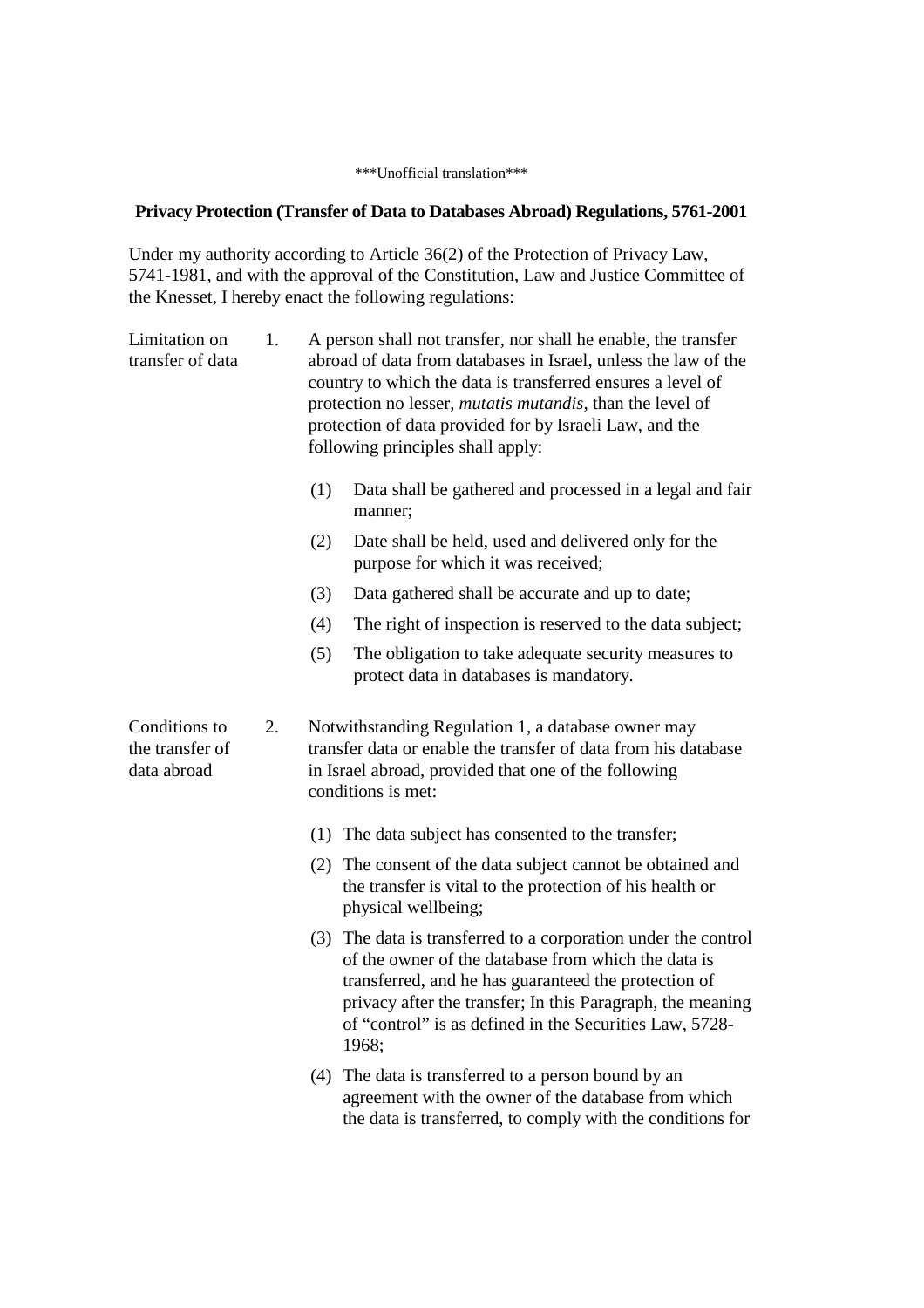## \*\*\*Unofficial translation\*\*\*

## **Privacy Protection (Transfer of Data to Databases Abroad) Regulations, 5761-2001**

Under my authority according to Article 36(2) of the Protection of Privacy Law, 5741-1981, and with the approval of the Constitution, Law and Justice Committee of the Knesset, I hereby enact the following regulations:

| Limitation on<br>transfer of data               | 1. | A person shall not transfer, nor shall he enable, the transfer<br>abroad of data from databases in Israel, unless the law of the<br>country to which the data is transferred ensures a level of<br>protection no lesser, <i>mutatis mutandis</i> , than the level of<br>protection of data provided for by Israeli Law, and the<br>following principles shall apply: |                                                                                                                                                                                                                                                                                                                 |
|-------------------------------------------------|----|----------------------------------------------------------------------------------------------------------------------------------------------------------------------------------------------------------------------------------------------------------------------------------------------------------------------------------------------------------------------|-----------------------------------------------------------------------------------------------------------------------------------------------------------------------------------------------------------------------------------------------------------------------------------------------------------------|
|                                                 |    | (1)                                                                                                                                                                                                                                                                                                                                                                  | Data shall be gathered and processed in a legal and fair<br>manner;                                                                                                                                                                                                                                             |
|                                                 |    | (2)                                                                                                                                                                                                                                                                                                                                                                  | Date shall be held, used and delivered only for the<br>purpose for which it was received;                                                                                                                                                                                                                       |
|                                                 |    | (3)                                                                                                                                                                                                                                                                                                                                                                  | Data gathered shall be accurate and up to date;                                                                                                                                                                                                                                                                 |
|                                                 |    | (4)                                                                                                                                                                                                                                                                                                                                                                  | The right of inspection is reserved to the data subject;                                                                                                                                                                                                                                                        |
|                                                 |    | (5)                                                                                                                                                                                                                                                                                                                                                                  | The obligation to take adequate security measures to<br>protect data in databases is mandatory.                                                                                                                                                                                                                 |
| Conditions to<br>the transfer of<br>data abroad | 2. | Notwithstanding Regulation 1, a database owner may<br>transfer data or enable the transfer of data from his database<br>in Israel abroad, provided that one of the following<br>conditions is met:                                                                                                                                                                   |                                                                                                                                                                                                                                                                                                                 |
|                                                 |    |                                                                                                                                                                                                                                                                                                                                                                      | (1) The data subject has consented to the transfer;                                                                                                                                                                                                                                                             |
|                                                 |    |                                                                                                                                                                                                                                                                                                                                                                      | (2) The consent of the data subject cannot be obtained and<br>the transfer is vital to the protection of his health or<br>physical wellbeing;                                                                                                                                                                   |
|                                                 |    |                                                                                                                                                                                                                                                                                                                                                                      | (3) The data is transferred to a corporation under the control<br>of the owner of the database from which the data is<br>transferred, and he has guaranteed the protection of<br>privacy after the transfer; In this Paragraph, the meaning<br>of "control" is as defined in the Securities Law, 5728-<br>1968; |
|                                                 |    |                                                                                                                                                                                                                                                                                                                                                                      | (4) The data is transferred to a person bound by an<br>agreement with the owner of the database from which<br>the data is transferred, to comply with the conditions for                                                                                                                                        |